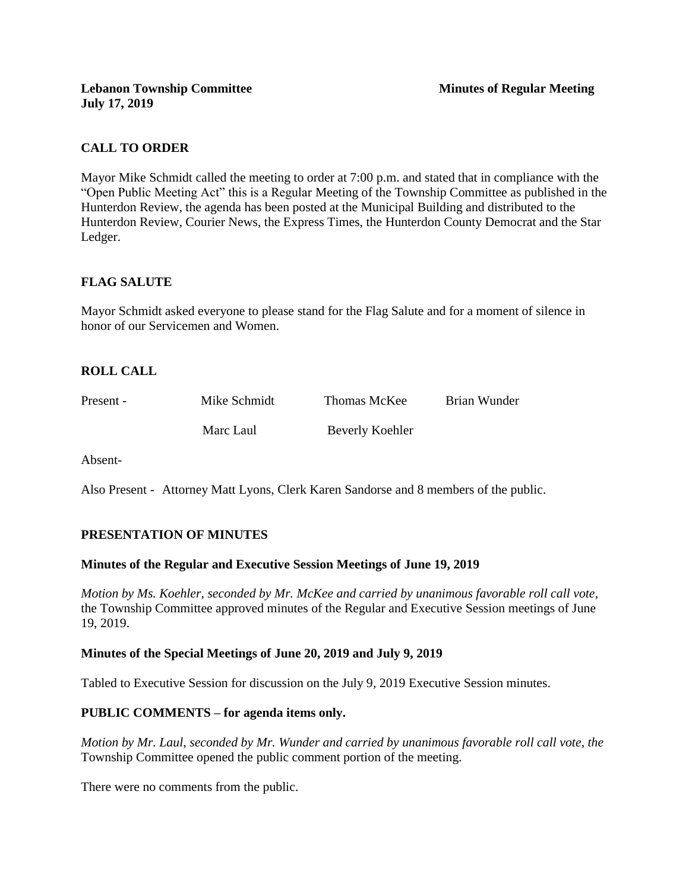# **CALL TO ORDER**

Mayor Mike Schmidt called the meeting to order at 7:00 p.m. and stated that in compliance with the "Open Public Meeting Act" this is a Regular Meeting of the Township Committee as published in the Hunterdon Review, the agenda has been posted at the Municipal Building and distributed to the Hunterdon Review, Courier News, the Express Times, the Hunterdon County Democrat and the Star Ledger.

# **FLAG SALUTE**

Mayor Schmidt asked everyone to please stand for the Flag Salute and for a moment of silence in honor of our Servicemen and Women.

# **ROLL CALL**

| Present - | Mike Schmidt | Thomas McKee    | Brian Wunder |
|-----------|--------------|-----------------|--------------|
|           | Marc Laul    | Beverly Koehler |              |

Absent-

Also Present - Attorney Matt Lyons, Clerk Karen Sandorse and 8 members of the public.

# **PRESENTATION OF MINUTES**

#### **Minutes of the Regular and Executive Session Meetings of June 19, 2019**

*Motion by Ms. Koehler, seconded by Mr. McKee and carried by unanimous favorable roll call vote,* the Township Committee approved minutes of the Regular and Executive Session meetings of June 19, 2019.

#### **Minutes of the Special Meetings of June 20, 2019 and July 9, 2019**

Tabled to Executive Session for discussion on the July 9, 2019 Executive Session minutes.

# **PUBLIC COMMENTS – for agenda items only.**

*Motion by Mr. Laul, seconded by Mr. Wunder and carried by unanimous favorable roll call vote, the* Township Committee opened the public comment portion of the meeting.

There were no comments from the public.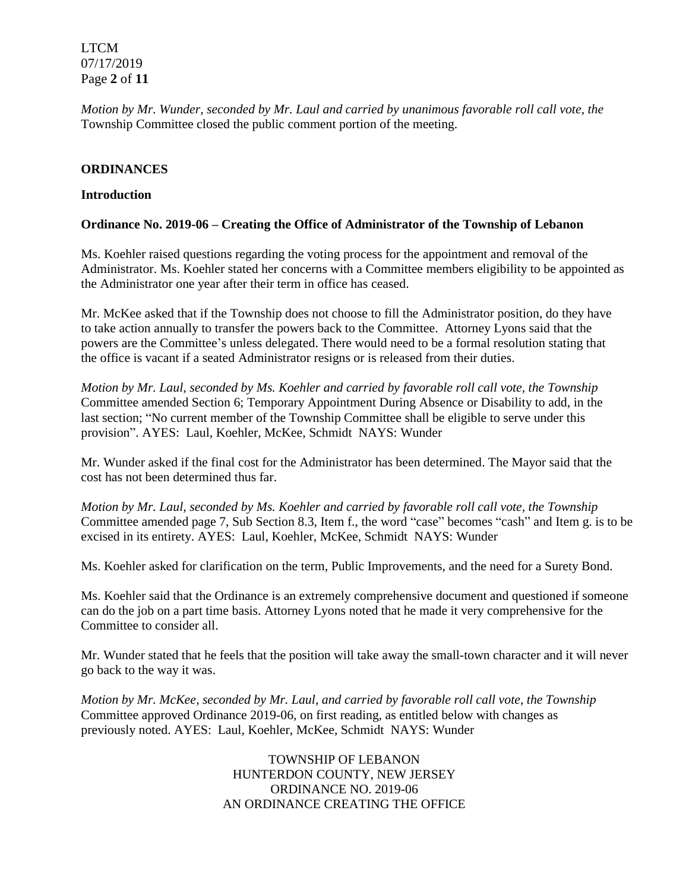LTCM 07/17/2019 Page **2** of **11**

*Motion by Mr. Wunder, seconded by Mr. Laul and carried by unanimous favorable roll call vote, the* Township Committee closed the public comment portion of the meeting.

### **ORDINANCES**

#### **Introduction**

### **Ordinance No. 2019-06 – Creating the Office of Administrator of the Township of Lebanon**

Ms. Koehler raised questions regarding the voting process for the appointment and removal of the Administrator. Ms. Koehler stated her concerns with a Committee members eligibility to be appointed as the Administrator one year after their term in office has ceased.

Mr. McKee asked that if the Township does not choose to fill the Administrator position, do they have to take action annually to transfer the powers back to the Committee. Attorney Lyons said that the powers are the Committee's unless delegated. There would need to be a formal resolution stating that the office is vacant if a seated Administrator resigns or is released from their duties.

*Motion by Mr. Laul, seconded by Ms. Koehler and carried by favorable roll call vote, the Township* Committee amended Section 6; Temporary Appointment During Absence or Disability to add, in the last section; "No current member of the Township Committee shall be eligible to serve under this provision". AYES: Laul, Koehler, McKee, Schmidt NAYS: Wunder

Mr. Wunder asked if the final cost for the Administrator has been determined. The Mayor said that the cost has not been determined thus far.

*Motion by Mr. Laul, seconded by Ms. Koehler and carried by favorable roll call vote, the Township* Committee amended page 7, Sub Section 8.3, Item f., the word "case" becomes "cash" and Item g. is to be excised in its entirety. AYES: Laul, Koehler, McKee, Schmidt NAYS: Wunder

Ms. Koehler asked for clarification on the term, Public Improvements, and the need for a Surety Bond.

Ms. Koehler said that the Ordinance is an extremely comprehensive document and questioned if someone can do the job on a part time basis. Attorney Lyons noted that he made it very comprehensive for the Committee to consider all.

Mr. Wunder stated that he feels that the position will take away the small-town character and it will never go back to the way it was.

*Motion by Mr. McKee, seconded by Mr. Laul, and carried by favorable roll call vote, the Township* Committee approved Ordinance 2019-06, on first reading, as entitled below with changes as previously noted. AYES: Laul, Koehler, McKee, Schmidt NAYS: Wunder

> TOWNSHIP OF LEBANON HUNTERDON COUNTY, NEW JERSEY ORDINANCE NO. 2019-06 AN ORDINANCE CREATING THE OFFICE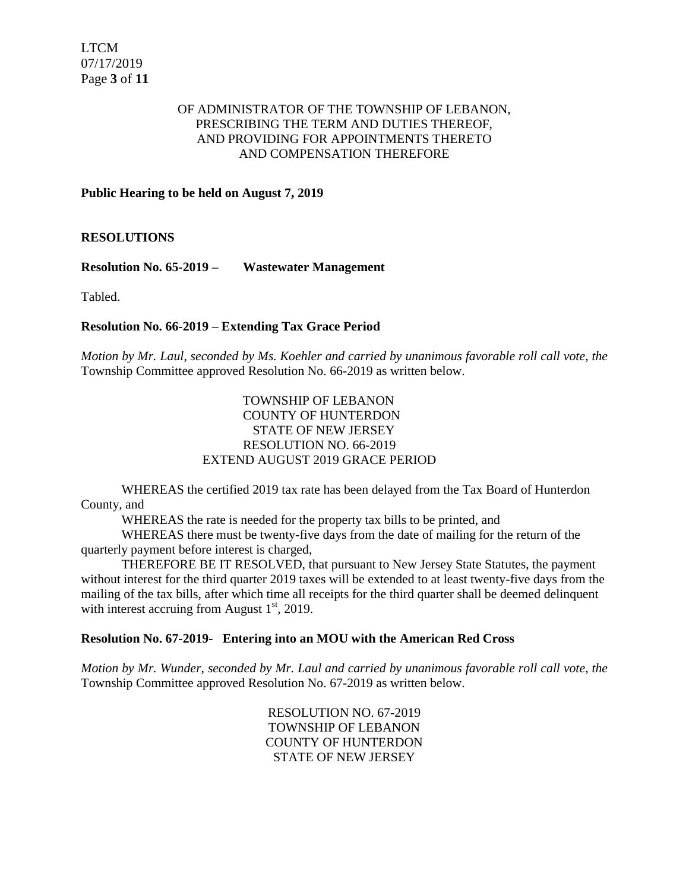### OF ADMINISTRATOR OF THE TOWNSHIP OF LEBANON, PRESCRIBING THE TERM AND DUTIES THEREOF, AND PROVIDING FOR APPOINTMENTS THERETO AND COMPENSATION THEREFORE

### **Public Hearing to be held on August 7, 2019**

**RESOLUTIONS**

**Resolution No. 65-2019 – Wastewater Management**

Tabled.

### **Resolution No. 66-2019 – Extending Tax Grace Period**

*Motion by Mr. Laul, seconded by Ms. Koehler and carried by unanimous favorable roll call vote, the* Township Committee approved Resolution No. 66-2019 as written below.

### TOWNSHIP OF LEBANON COUNTY OF HUNTERDON STATE OF NEW JERSEY RESOLUTION NO. 66-2019 EXTEND AUGUST 2019 GRACE PERIOD

WHEREAS the certified 2019 tax rate has been delayed from the Tax Board of Hunterdon County, and

WHEREAS the rate is needed for the property tax bills to be printed, and

WHEREAS there must be twenty-five days from the date of mailing for the return of the quarterly payment before interest is charged,

THEREFORE BE IT RESOLVED, that pursuant to New Jersey State Statutes, the payment without interest for the third quarter 2019 taxes will be extended to at least twenty-five days from the mailing of the tax bills, after which time all receipts for the third quarter shall be deemed delinquent with interest accruing from August  $1<sup>st</sup>$ , 2019.

#### **Resolution No. 67-2019- Entering into an MOU with the American Red Cross**

*Motion by Mr. Wunder, seconded by Mr. Laul and carried by unanimous favorable roll call vote, the* Township Committee approved Resolution No. 67-2019 as written below.

> RESOLUTION NO. 67-2019 TOWNSHIP OF LEBANON COUNTY OF HUNTERDON STATE OF NEW JERSEY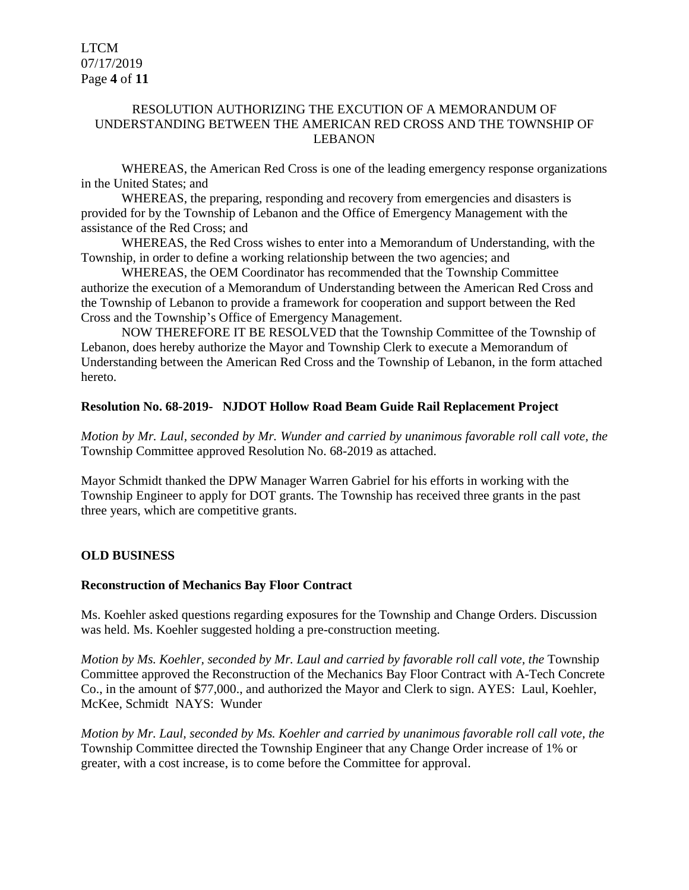### RESOLUTION AUTHORIZING THE EXCUTION OF A MEMORANDUM OF UNDERSTANDING BETWEEN THE AMERICAN RED CROSS AND THE TOWNSHIP OF LEBANON

WHEREAS, the American Red Cross is one of the leading emergency response organizations in the United States; and

WHEREAS, the preparing, responding and recovery from emergencies and disasters is provided for by the Township of Lebanon and the Office of Emergency Management with the assistance of the Red Cross; and

WHEREAS, the Red Cross wishes to enter into a Memorandum of Understanding, with the Township, in order to define a working relationship between the two agencies; and

WHEREAS, the OEM Coordinator has recommended that the Township Committee authorize the execution of a Memorandum of Understanding between the American Red Cross and the Township of Lebanon to provide a framework for cooperation and support between the Red Cross and the Township's Office of Emergency Management.

NOW THEREFORE IT BE RESOLVED that the Township Committee of the Township of Lebanon, does hereby authorize the Mayor and Township Clerk to execute a Memorandum of Understanding between the American Red Cross and the Township of Lebanon, in the form attached hereto.

### **Resolution No. 68-2019- NJDOT Hollow Road Beam Guide Rail Replacement Project**

*Motion by Mr. Laul, seconded by Mr. Wunder and carried by unanimous favorable roll call vote, the* Township Committee approved Resolution No. 68-2019 as attached.

Mayor Schmidt thanked the DPW Manager Warren Gabriel for his efforts in working with the Township Engineer to apply for DOT grants. The Township has received three grants in the past three years, which are competitive grants.

# **OLD BUSINESS**

#### **Reconstruction of Mechanics Bay Floor Contract**

Ms. Koehler asked questions regarding exposures for the Township and Change Orders. Discussion was held. Ms. Koehler suggested holding a pre-construction meeting.

*Motion by Ms. Koehler, seconded by Mr. Laul and carried by favorable roll call vote, the* Township Committee approved the Reconstruction of the Mechanics Bay Floor Contract with A-Tech Concrete Co., in the amount of \$77,000., and authorized the Mayor and Clerk to sign. AYES: Laul, Koehler, McKee, Schmidt NAYS: Wunder

*Motion by Mr. Laul, seconded by Ms. Koehler and carried by unanimous favorable roll call vote, the* Township Committee directed the Township Engineer that any Change Order increase of 1% or greater, with a cost increase, is to come before the Committee for approval.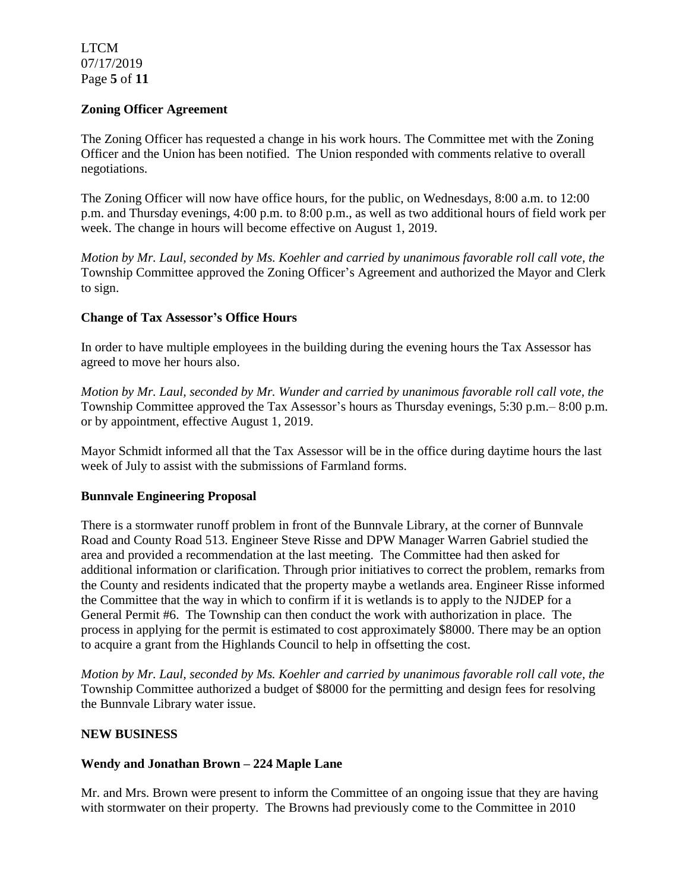LTCM 07/17/2019 Page **5** of **11**

### **Zoning Officer Agreement**

The Zoning Officer has requested a change in his work hours. The Committee met with the Zoning Officer and the Union has been notified. The Union responded with comments relative to overall negotiations.

The Zoning Officer will now have office hours, for the public, on Wednesdays, 8:00 a.m. to 12:00 p.m. and Thursday evenings, 4:00 p.m. to 8:00 p.m., as well as two additional hours of field work per week. The change in hours will become effective on August 1, 2019.

*Motion by Mr. Laul, seconded by Ms. Koehler and carried by unanimous favorable roll call vote, the* Township Committee approved the Zoning Officer's Agreement and authorized the Mayor and Clerk to sign.

# **Change of Tax Assessor's Office Hours**

In order to have multiple employees in the building during the evening hours the Tax Assessor has agreed to move her hours also.

*Motion by Mr. Laul, seconded by Mr. Wunder and carried by unanimous favorable roll call vote, the* Township Committee approved the Tax Assessor's hours as Thursday evenings, 5:30 p.m.– 8:00 p.m. or by appointment, effective August 1, 2019.

Mayor Schmidt informed all that the Tax Assessor will be in the office during daytime hours the last week of July to assist with the submissions of Farmland forms.

#### **Bunnvale Engineering Proposal**

There is a stormwater runoff problem in front of the Bunnvale Library, at the corner of Bunnvale Road and County Road 513. Engineer Steve Risse and DPW Manager Warren Gabriel studied the area and provided a recommendation at the last meeting. The Committee had then asked for additional information or clarification. Through prior initiatives to correct the problem, remarks from the County and residents indicated that the property maybe a wetlands area. Engineer Risse informed the Committee that the way in which to confirm if it is wetlands is to apply to the NJDEP for a General Permit #6. The Township can then conduct the work with authorization in place. The process in applying for the permit is estimated to cost approximately \$8000. There may be an option to acquire a grant from the Highlands Council to help in offsetting the cost.

*Motion by Mr. Laul, seconded by Ms. Koehler and carried by unanimous favorable roll call vote, the* Township Committee authorized a budget of \$8000 for the permitting and design fees for resolving the Bunnvale Library water issue.

#### **NEW BUSINESS**

# **Wendy and Jonathan Brown – 224 Maple Lane**

Mr. and Mrs. Brown were present to inform the Committee of an ongoing issue that they are having with stormwater on their property. The Browns had previously come to the Committee in 2010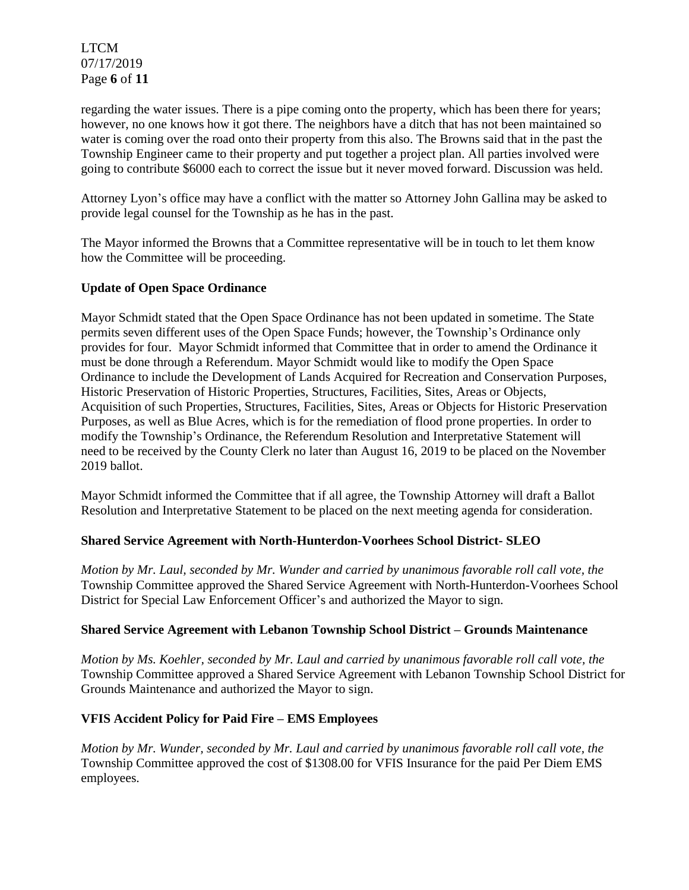LTCM 07/17/2019 Page **6** of **11**

regarding the water issues. There is a pipe coming onto the property, which has been there for years; however, no one knows how it got there. The neighbors have a ditch that has not been maintained so water is coming over the road onto their property from this also. The Browns said that in the past the Township Engineer came to their property and put together a project plan. All parties involved were going to contribute \$6000 each to correct the issue but it never moved forward. Discussion was held.

Attorney Lyon's office may have a conflict with the matter so Attorney John Gallina may be asked to provide legal counsel for the Township as he has in the past.

The Mayor informed the Browns that a Committee representative will be in touch to let them know how the Committee will be proceeding.

### **Update of Open Space Ordinance**

Mayor Schmidt stated that the Open Space Ordinance has not been updated in sometime. The State permits seven different uses of the Open Space Funds; however, the Township's Ordinance only provides for four. Mayor Schmidt informed that Committee that in order to amend the Ordinance it must be done through a Referendum. Mayor Schmidt would like to modify the Open Space Ordinance to include the Development of Lands Acquired for Recreation and Conservation Purposes, Historic Preservation of Historic Properties, Structures, Facilities, Sites, Areas or Objects, Acquisition of such Properties, Structures, Facilities, Sites, Areas or Objects for Historic Preservation Purposes, as well as Blue Acres, which is for the remediation of flood prone properties. In order to modify the Township's Ordinance, the Referendum Resolution and Interpretative Statement will need to be received by the County Clerk no later than August 16, 2019 to be placed on the November 2019 ballot.

Mayor Schmidt informed the Committee that if all agree, the Township Attorney will draft a Ballot Resolution and Interpretative Statement to be placed on the next meeting agenda for consideration.

# **Shared Service Agreement with North-Hunterdon-Voorhees School District- SLEO**

*Motion by Mr. Laul, seconded by Mr. Wunder and carried by unanimous favorable roll call vote, the* Township Committee approved the Shared Service Agreement with North-Hunterdon-Voorhees School District for Special Law Enforcement Officer's and authorized the Mayor to sign.

# **Shared Service Agreement with Lebanon Township School District – Grounds Maintenance**

*Motion by Ms. Koehler, seconded by Mr. Laul and carried by unanimous favorable roll call vote, the* Township Committee approved a Shared Service Agreement with Lebanon Township School District for Grounds Maintenance and authorized the Mayor to sign.

# **VFIS Accident Policy for Paid Fire – EMS Employees**

*Motion by Mr. Wunder, seconded by Mr. Laul and carried by unanimous favorable roll call vote, the* Township Committee approved the cost of \$1308.00 for VFIS Insurance for the paid Per Diem EMS employees.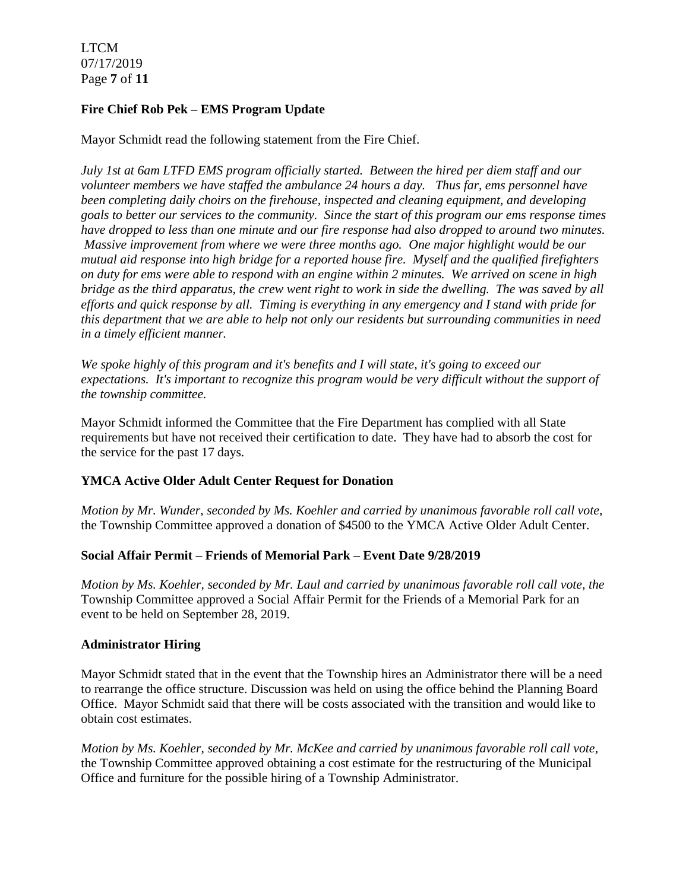LTCM 07/17/2019 Page **7** of **11**

# **Fire Chief Rob Pek – EMS Program Update**

Mayor Schmidt read the following statement from the Fire Chief.

*July 1st at 6am LTFD EMS program officially started. Between the hired per diem staff and our volunteer members we have staffed the ambulance 24 hours a day. Thus far, ems personnel have been completing daily choirs on the firehouse, inspected and cleaning equipment, and developing goals to better our services to the community. Since the start of this program our ems response times have dropped to less than one minute and our fire response had also dropped to around two minutes. Massive improvement from where we were three months ago. One major highlight would be our mutual aid response into high bridge for a reported house fire. Myself and the qualified firefighters on duty for ems were able to respond with an engine within 2 minutes. We arrived on scene in high bridge as the third apparatus, the crew went right to work in side the dwelling. The was saved by all efforts and quick response by all. Timing is everything in any emergency and I stand with pride for this department that we are able to help not only our residents but surrounding communities in need in a timely efficient manner.* 

*We spoke highly of this program and it's benefits and I will state, it's going to exceed our expectations. It's important to recognize this program would be very difficult without the support of the township committee.* 

Mayor Schmidt informed the Committee that the Fire Department has complied with all State requirements but have not received their certification to date. They have had to absorb the cost for the service for the past 17 days.

# **YMCA Active Older Adult Center Request for Donation**

*Motion by Mr. Wunder, seconded by Ms. Koehler and carried by unanimous favorable roll call vote,* the Township Committee approved a donation of \$4500 to the YMCA Active Older Adult Center.

#### **Social Affair Permit – Friends of Memorial Park – Event Date 9/28/2019**

*Motion by Ms. Koehler, seconded by Mr. Laul and carried by unanimous favorable roll call vote, the* Township Committee approved a Social Affair Permit for the Friends of a Memorial Park for an event to be held on September 28, 2019.

#### **Administrator Hiring**

Mayor Schmidt stated that in the event that the Township hires an Administrator there will be a need to rearrange the office structure. Discussion was held on using the office behind the Planning Board Office. Mayor Schmidt said that there will be costs associated with the transition and would like to obtain cost estimates.

*Motion by Ms. Koehler, seconded by Mr. McKee and carried by unanimous favorable roll call vote,* the Township Committee approved obtaining a cost estimate for the restructuring of the Municipal Office and furniture for the possible hiring of a Township Administrator.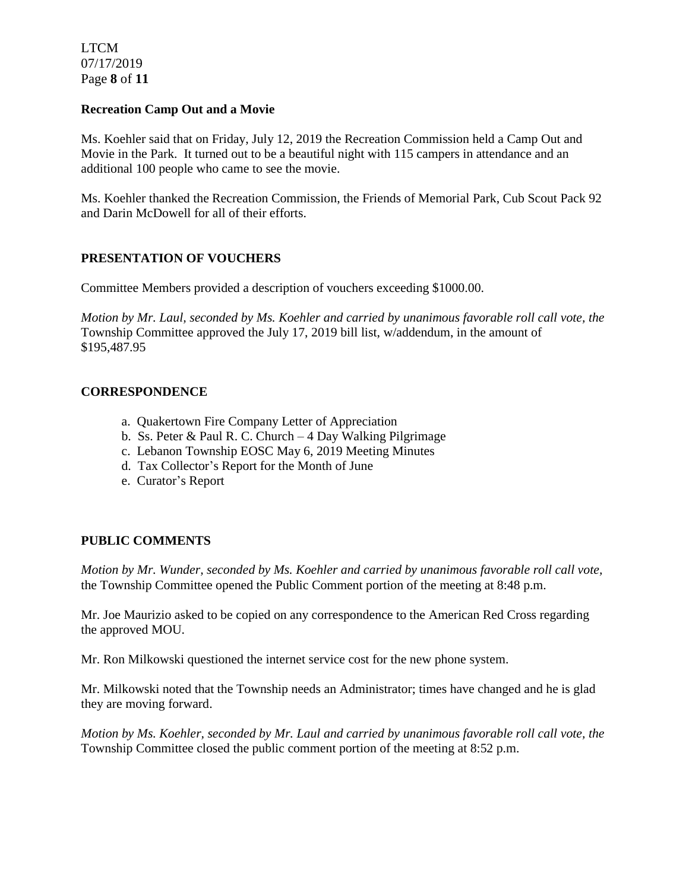LTCM 07/17/2019 Page **8** of **11**

#### **Recreation Camp Out and a Movie**

Ms. Koehler said that on Friday, July 12, 2019 the Recreation Commission held a Camp Out and Movie in the Park. It turned out to be a beautiful night with 115 campers in attendance and an additional 100 people who came to see the movie.

Ms. Koehler thanked the Recreation Commission, the Friends of Memorial Park, Cub Scout Pack 92 and Darin McDowell for all of their efforts.

# **PRESENTATION OF VOUCHERS**

Committee Members provided a description of vouchers exceeding \$1000.00.

*Motion by Mr. Laul, seconded by Ms. Koehler and carried by unanimous favorable roll call vote, the* Township Committee approved the July 17, 2019 bill list, w/addendum, in the amount of \$195,487.95

### **CORRESPONDENCE**

- a. Quakertown Fire Company Letter of Appreciation
- b. Ss. Peter & Paul R. C. Church 4 Day Walking Pilgrimage
- c. Lebanon Township EOSC May 6, 2019 Meeting Minutes
- d. Tax Collector's Report for the Month of June
- e. Curator's Report

# **PUBLIC COMMENTS**

*Motion by Mr. Wunder, seconded by Ms. Koehler and carried by unanimous favorable roll call vote,* the Township Committee opened the Public Comment portion of the meeting at 8:48 p.m.

Mr. Joe Maurizio asked to be copied on any correspondence to the American Red Cross regarding the approved MOU.

Mr. Ron Milkowski questioned the internet service cost for the new phone system.

Mr. Milkowski noted that the Township needs an Administrator; times have changed and he is glad they are moving forward.

*Motion by Ms. Koehler, seconded by Mr. Laul and carried by unanimous favorable roll call vote, the* Township Committee closed the public comment portion of the meeting at 8:52 p.m.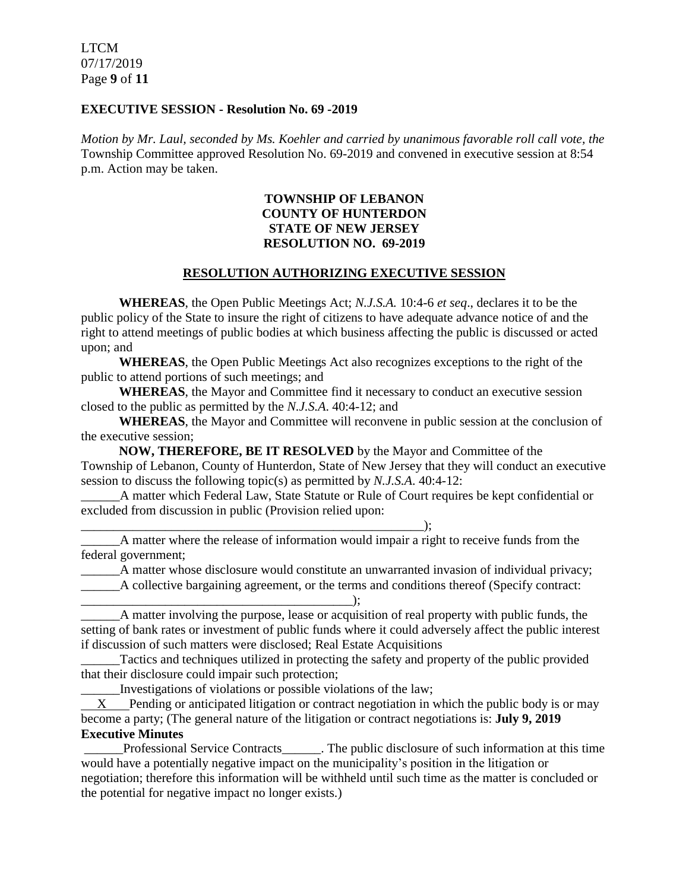LTCM 07/17/2019 Page **9** of **11**

#### **EXECUTIVE SESSION - Resolution No. 69 -2019**

*Motion by Mr. Laul, seconded by Ms. Koehler and carried by unanimous favorable roll call vote, the* Township Committee approved Resolution No. 69-2019 and convened in executive session at 8:54 p.m. Action may be taken.

### **TOWNSHIP OF LEBANON COUNTY OF HUNTERDON STATE OF NEW JERSEY RESOLUTION NO. 69-2019**

### **RESOLUTION AUTHORIZING EXECUTIVE SESSION**

**WHEREAS**, the Open Public Meetings Act; *N.J.S.A.* 10:4-6 *et seq*., declares it to be the public policy of the State to insure the right of citizens to have adequate advance notice of and the right to attend meetings of public bodies at which business affecting the public is discussed or acted upon; and

**WHEREAS**, the Open Public Meetings Act also recognizes exceptions to the right of the public to attend portions of such meetings; and

**WHEREAS**, the Mayor and Committee find it necessary to conduct an executive session closed to the public as permitted by the *N.J.S.A*. 40:4-12; and

**WHEREAS**, the Mayor and Committee will reconvene in public session at the conclusion of the executive session;

**NOW, THEREFORE, BE IT RESOLVED** by the Mayor and Committee of the Township of Lebanon, County of Hunterdon, State of New Jersey that they will conduct an executive session to discuss the following topic(s) as permitted by *N.J.S.A*. 40:4-12:

\_\_\_\_\_\_A matter which Federal Law, State Statute or Rule of Court requires be kept confidential or excluded from discussion in public (Provision relied upon:

\_\_\_\_\_\_A matter where the release of information would impair a right to receive funds from the federal government;

\_\_\_\_\_\_A matter whose disclosure would constitute an unwarranted invasion of individual privacy;

\_\_\_\_\_\_A collective bargaining agreement, or the terms and conditions thereof (Specify contract:

\_\_\_\_\_\_\_\_\_\_\_\_\_\_\_\_\_\_\_\_\_\_\_\_\_\_\_\_\_\_\_\_\_\_\_\_\_\_\_\_\_\_); A matter involving the purpose, lease or acquisition of real property with public funds, the setting of bank rates or investment of public funds where it could adversely affect the public interest if discussion of such matters were disclosed; Real Estate Acquisitions

\_\_\_\_\_\_Tactics and techniques utilized in protecting the safety and property of the public provided that their disclosure could impair such protection;

\_\_\_\_\_\_Investigations of violations or possible violations of the law;

\_\_\_\_\_\_\_\_\_\_\_\_\_\_\_\_\_\_\_\_\_\_\_\_\_\_\_\_\_\_\_\_\_\_\_\_\_\_\_\_\_\_\_\_\_\_\_\_\_\_\_\_\_);

 $X$  Pending or anticipated litigation or contract negotiation in which the public body is or may become a party; (The general nature of the litigation or contract negotiations is: **July 9, 2019 Executive Minutes**

Professional Service Contracts The public disclosure of such information at this time would have a potentially negative impact on the municipality's position in the litigation or negotiation; therefore this information will be withheld until such time as the matter is concluded or the potential for negative impact no longer exists.)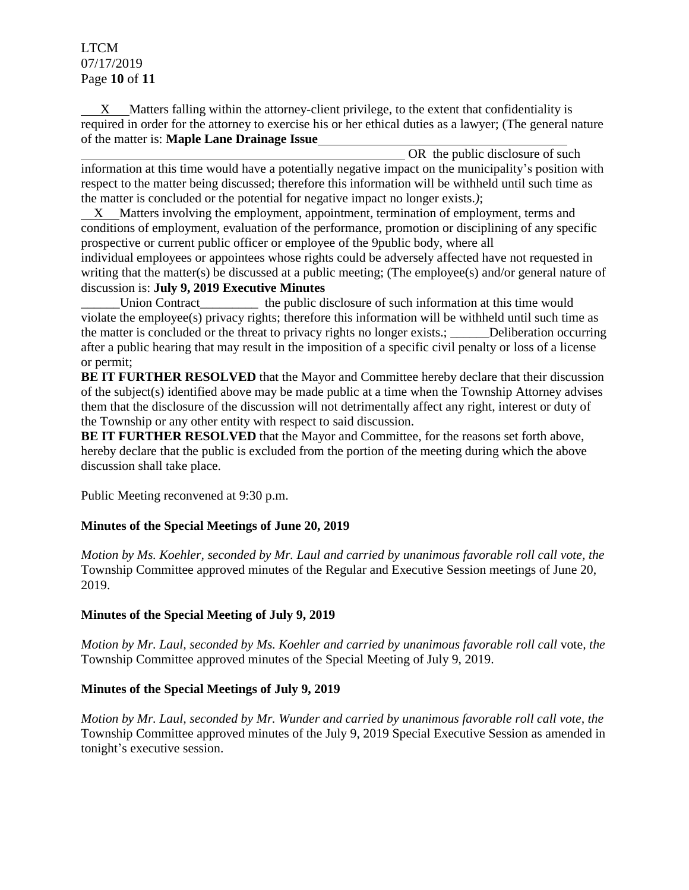# LTCM 07/17/2019 Page **10** of **11**

 X Matters falling within the attorney-client privilege, to the extent that confidentiality is required in order for the attorney to exercise his or her ethical duties as a lawyer; (The general nature of the matter is: **Maple Lane Drainage Issue**

OR the public disclosure of such information at this time would have a potentially negative impact on the municipality's position with respect to the matter being discussed; therefore this information will be withheld until such time as the matter is concluded or the potential for negative impact no longer exists.*)*;

X Matters involving the employment, appointment, termination of employment, terms and conditions of employment, evaluation of the performance, promotion or disciplining of any specific prospective or current public officer or employee of the 9public body, where all individual employees or appointees whose rights could be adversely affected have not requested in writing that the matter(s) be discussed at a public meeting; (The employee(s) and/or general nature of discussion is: **July 9, 2019 Executive Minutes**

Union Contract the public disclosure of such information at this time would violate the employee(s) privacy rights; therefore this information will be withheld until such time as the matter is concluded or the threat to privacy rights no longer exists.; \_\_\_\_\_\_Deliberation occurring after a public hearing that may result in the imposition of a specific civil penalty or loss of a license or permit;

BE IT FURTHER RESOLVED that the Mayor and Committee hereby declare that their discussion of the subject(s) identified above may be made public at a time when the Township Attorney advises them that the disclosure of the discussion will not detrimentally affect any right, interest or duty of the Township or any other entity with respect to said discussion.

**BE IT FURTHER RESOLVED** that the Mayor and Committee, for the reasons set forth above, hereby declare that the public is excluded from the portion of the meeting during which the above discussion shall take place.

Public Meeting reconvened at 9:30 p.m.

# **Minutes of the Special Meetings of June 20, 2019**

*Motion by Ms. Koehler, seconded by Mr. Laul and carried by unanimous favorable roll call vote, the* Township Committee approved minutes of the Regular and Executive Session meetings of June 20, 2019.

# **Minutes of the Special Meeting of July 9, 2019**

*Motion by Mr. Laul, seconded by Ms. Koehler and carried by unanimous favorable roll call* vote*, the* Township Committee approved minutes of the Special Meeting of July 9, 2019.

# **Minutes of the Special Meetings of July 9, 2019**

*Motion by Mr. Laul, seconded by Mr. Wunder and carried by unanimous favorable roll call vote, the* Township Committee approved minutes of the July 9, 2019 Special Executive Session as amended in tonight's executive session.